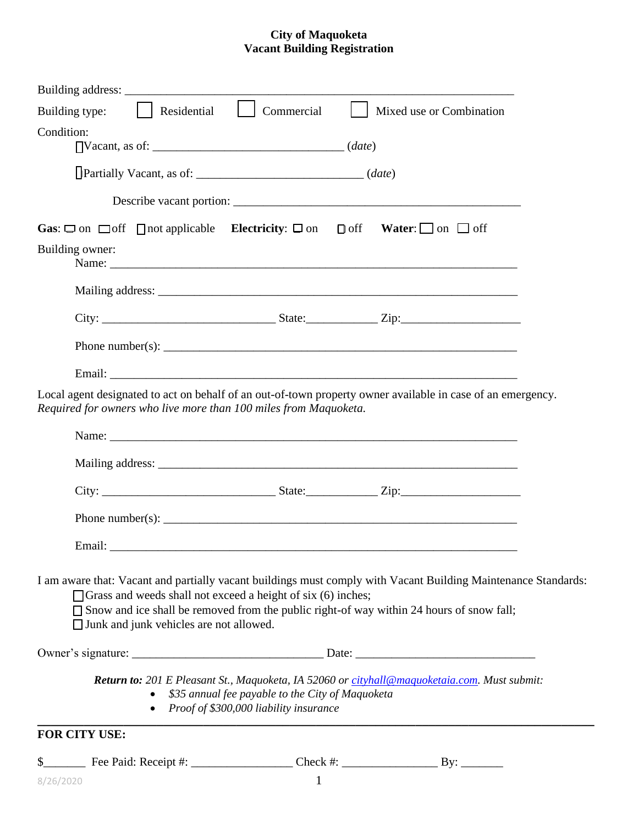## **City of Maquoketa Vacant Building Registration**

| Residential Commercial<br>Building type:<br>Mixed use or Combination                                                                                                                                                                                                                                                                  |
|---------------------------------------------------------------------------------------------------------------------------------------------------------------------------------------------------------------------------------------------------------------------------------------------------------------------------------------|
| Condition:                                                                                                                                                                                                                                                                                                                            |
|                                                                                                                                                                                                                                                                                                                                       |
|                                                                                                                                                                                                                                                                                                                                       |
|                                                                                                                                                                                                                                                                                                                                       |
| Gas: $\Box$ on $\Box$ off $\Box$ not applicable Electricity: $\Box$ on $\Box$ off Water: $\Box$ on $\Box$ off                                                                                                                                                                                                                         |
| Building owner:                                                                                                                                                                                                                                                                                                                       |
|                                                                                                                                                                                                                                                                                                                                       |
|                                                                                                                                                                                                                                                                                                                                       |
|                                                                                                                                                                                                                                                                                                                                       |
|                                                                                                                                                                                                                                                                                                                                       |
| Local agent designated to act on behalf of an out-of-town property owner available in case of an emergency.<br>Required for owners who live more than 100 miles from Maquoketa.                                                                                                                                                       |
|                                                                                                                                                                                                                                                                                                                                       |
|                                                                                                                                                                                                                                                                                                                                       |
|                                                                                                                                                                                                                                                                                                                                       |
|                                                                                                                                                                                                                                                                                                                                       |
|                                                                                                                                                                                                                                                                                                                                       |
| I am aware that: Vacant and partially vacant buildings must comply with Vacant Building Maintenance Standards:<br>$\Box$ Grass and weeds shall not exceed a height of six (6) inches;<br>□ Snow and ice shall be removed from the public right-of way within 24 hours of snow fall;<br>$\Box$ Junk and junk vehicles are not allowed. |
|                                                                                                                                                                                                                                                                                                                                       |
| Return to: 201 E Pleasant St., Maquoketa, IA 52060 or cityhall@maquoketaia.com. Must submit:<br>• \$35 annual fee payable to the City of Maquoketa<br>• Proof of \$300,000 liability insurance                                                                                                                                        |
| <b>FOR CITY USE:</b>                                                                                                                                                                                                                                                                                                                  |
|                                                                                                                                                                                                                                                                                                                                       |
| $1 \qquad \qquad$<br>8/26/2020                                                                                                                                                                                                                                                                                                        |